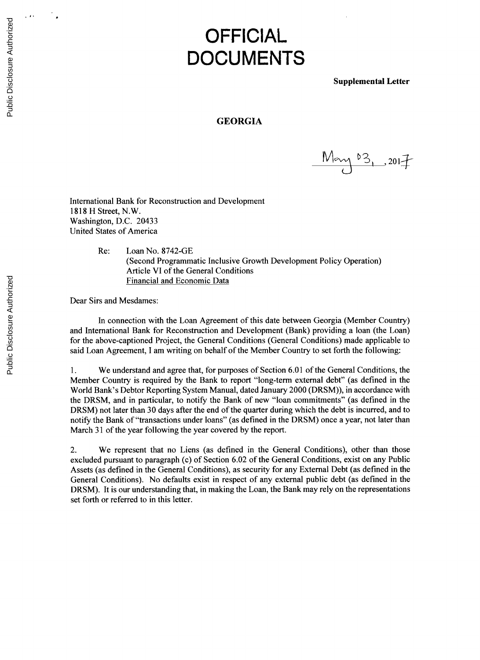## **OFFICIAL DOCUMENTS**

**Supplemental Letter**

## **GEORGIA**

 $\frac{10^{10}}{2}$  , 2017

International Bank for Reconstruction and Development **1818** H Street, N.W. Washington, **D.C.** 20433 United States of America

> Re: Loan No. **8742-GE** (Second Programmatic Inclusive Growth Development Policy Operation) Article VI of the General Conditions Financial and Economic Data

Dear Sirs and Mesdames:

In connection with the Loan Agreement of this date between Georgia (Member Country) and International Bank for Reconstruction and Development (Bank) providing a loan (the Loan) for the above-captioned Project, the General Conditions (General Conditions) made applicable to said Loan Agreement, **I** am writing on behalf of the Member Country to set forth the following:

**1.** We understand and agree that, for purposes of Section **6.01** of the General Conditions, the Member Country is required **by** the Bank to report "long-term external debt" (as defined in the World Bank's Debtor Reporting System Manual, dated January 2000 (DRSM)), in accordance with the DRSM, and in particular, to notify the Bank of new "loan commitments" (as defined in the DRSM) not later than **30** days after the end of the quarter during which the debt is incurred, and to notify the Bank of "transactions under loans" (as defined in the DRSM) once a year, not later than March **31** of the year following the year covered **by** the report.

2. We represent that no Liens (as defined in the General Conditions), other than those excluded pursuant to paragraph (c) of Section **6.02** of the General Conditions, exist on any Public Assets (as defined in the General Conditions), as security for any External Debt (as defined in the General Conditions). No defaults exist in respect of any external public debt (as defined in the DRSM). It is our understanding that, in making the Loan, the Bank may rely on the representations set forth or referred to in this letter.